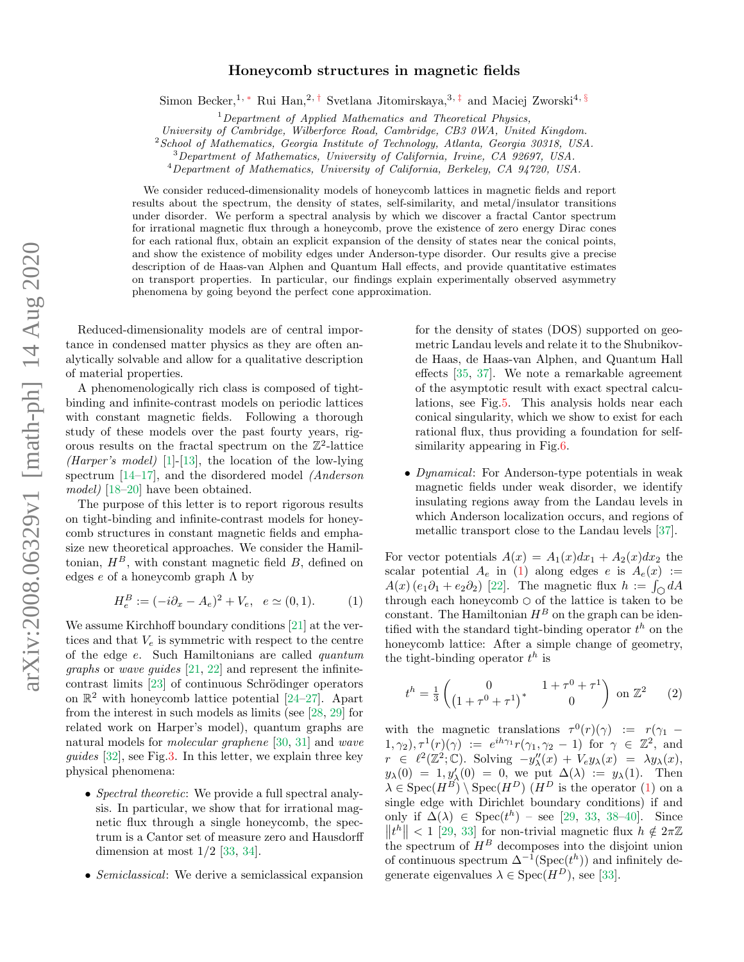## Honeycomb structures in magnetic fields

Simon Becker,<sup>1, \*</sup> Rui Han,<sup>2,[†](#page-4-1)</sup> Svetlana Jitomirskaya,<sup>3,[‡](#page-4-2)</sup> and Maciej Zworski<sup>4, [§](#page-4-3)</sup>

 $1$ Department of Applied Mathematics and Theoretical Physics,

University of Cambridge, Wilberforce Road, Cambridge, CB3 0WA, United Kingdom.

 $2$ School of Mathematics, Georgia Institute of Technology, Atlanta, Georgia 30318, USA.

<sup>3</sup>Department of Mathematics, University of California, Irvine, CA 92697, USA.

<sup>4</sup>Department of Mathematics, University of California, Berkeley, CA 94720, USA.

We consider reduced-dimensionality models of honeycomb lattices in magnetic fields and report results about the spectrum, the density of states, self-similarity, and metal/insulator transitions under disorder. We perform a spectral analysis by which we discover a fractal Cantor spectrum for irrational magnetic flux through a honeycomb, prove the existence of zero energy Dirac cones for each rational flux, obtain an explicit expansion of the density of states near the conical points, and show the existence of mobility edges under Anderson-type disorder. Our results give a precise description of de Haas-van Alphen and Quantum Hall effects, and provide quantitative estimates on transport properties. In particular, our findings explain experimentally observed asymmetry phenomena by going beyond the perfect cone approximation.

Reduced-dimensionality models are of central importance in condensed matter physics as they are often analytically solvable and allow for a qualitative description of material properties.

A phenomenologically rich class is composed of tightbinding and infinite-contrast models on periodic lattices with constant magnetic fields. Following a thorough study of these models over the past fourty years, rigorous results on the fractal spectrum on the  $\mathbb{Z}^2$ -lattice (Harper's model) [\[1\]](#page-4-4)-[\[13\]](#page-4-5), the location of the low-lying spectrum [\[14](#page-4-6)[–17\]](#page-4-7), and the disordered model (Anderson model) [\[18](#page-4-8)[–20\]](#page-4-9) have been obtained.

The purpose of this letter is to report rigorous results on tight-binding and infinite-contrast models for honeycomb structures in constant magnetic fields and emphasize new theoretical approaches. We consider the Hamiltonian,  $H^B$ , with constant magnetic field B, defined on edges  $e$  of a honeycomb graph  $\Lambda$  by

<span id="page-0-0"></span>
$$
H_e^B := (-i\partial_x - A_e)^2 + V_e, \quad e \simeq (0, 1). \tag{1}
$$

We assume Kirchhoff boundary conditions [\[21\]](#page-4-10) at the vertices and that  $V_e$  is symmetric with respect to the centre of the edge e. Such Hamiltonians are called quantum graphs or wave guides [\[21,](#page-4-10) [22\]](#page-4-11) and represent the infinite $contrast$  limits  $[23]$  of continuous Schrödinger operators on  $\mathbb{R}^2$  with honeycomb lattice potential [\[24–](#page-4-13)[27\]](#page-4-14). Apart from the interest in such models as limits (see [\[28,](#page-4-15) [29\]](#page-4-16) for related work on Harper's model), quantum graphs are natural models for molecular graphene [\[30,](#page-4-17) [31\]](#page-4-18) and wave guides [\[32\]](#page-4-19), see Fig[.3.](#page-2-0) In this letter, we explain three key physical phenomena:

- Spectral theoretic: We provide a full spectral analysis. In particular, we show that for irrational magnetic flux through a single honeycomb, the spectrum is a Cantor set of measure zero and Hausdorff dimension at most  $1/2$  [\[33,](#page-4-20) [34\]](#page-4-21).
- Semiclassical: We derive a semiclassical expansion

for the density of states (DOS) supported on geometric Landau levels and relate it to the Shubnikovde Haas, de Haas-van Alphen, and Quantum Hall effects [\[35,](#page-4-22) [37\]](#page-4-23). We note a remarkable agreement of the asymptotic result with exact spectral calculations, see Fig[.5.](#page-3-0) This analysis holds near each conical singularity, which we show to exist for each rational flux, thus providing a foundation for selfsimilarity appearing in Fig[.6.](#page-3-1)

• Dynamical: For Anderson-type potentials in weak magnetic fields under weak disorder, we identify insulating regions away from the Landau levels in which Anderson localization occurs, and regions of metallic transport close to the Landau levels [\[37\]](#page-4-23).

For vector potentials  $A(x) = A_1(x)dx_1 + A_2(x)dx_2$  the scalar potential  $A_e$  in [\(1\)](#page-0-0) along edges e is  $A_e(x) :=$  $A(x) (e_1 \partial_1 + e_2 \partial_2)$  [\[22\]](#page-4-11). The magnetic flux  $h := \int_{\Omega} dA$ through each honeycomb  $\bigcirc$  of the lattice is taken to be constant. The Hamiltonian  $H^B$  on the graph can be identified with the standard tight-binding operator  $t^h$  on the honeycomb lattice: After a simple change of geometry, the tight-binding operator  $t^h$  is

<span id="page-0-1"></span>
$$
t^{h} = \frac{1}{3} \begin{pmatrix} 0 & 1 + \tau^{0} + \tau^{1} \\ \left(1 + \tau^{0} + \tau^{1}\right)^{*} & 0 \end{pmatrix}
$$
 on  $\mathbb{Z}^{2}$  (2)

with the magnetic translations  $\tau^{0}(r)(\gamma) := r(\gamma_{1} (1, \gamma_2), \tau^1(r)(\gamma) := e^{ih\gamma_1}r(\gamma_1, \gamma_2 - 1)$  for  $\gamma \in \mathbb{Z}^2$ , and  $r \in \ell^2(\mathbb{Z}^2;\mathbb{C})$ . Solving  $-y''_{\lambda}(x) + V_e y_{\lambda}(x) = \lambda y_{\lambda}(x)$ ,  $y_{\lambda}(0) = 1, y'_{\lambda}(0) = 0$ , we put  $\Delta(\lambda) := y_{\lambda}(1)$ . Then  $\lambda \in \text{Spec}(H^B) \setminus \text{Spec}(H^D)$  (H<sup>D</sup> is the operator [\(1\)](#page-0-0) on a single edge with Dirichlet boundary conditions) if and only if  $\Delta(\lambda) \in \text{Spec}(t^h)$  – see [\[29,](#page-4-16) [33,](#page-4-20) [38](#page-4-24)[–40\]](#page-4-25). Since  $||t^h|| < 1$  [\[29,](#page-4-16) [33\]](#page-4-20) for non-trivial magnetic flux  $h \notin 2\pi\mathbb{Z}$ the spectrum of  $H^B$  decomposes into the disjoint union of continuous spectrum  $\Delta^{-1}(\text{Spec}(t^h))$  and infinitely degenerate eigenvalues  $\lambda \in \text{Spec}(H^D)$ , see [\[33\]](#page-4-20).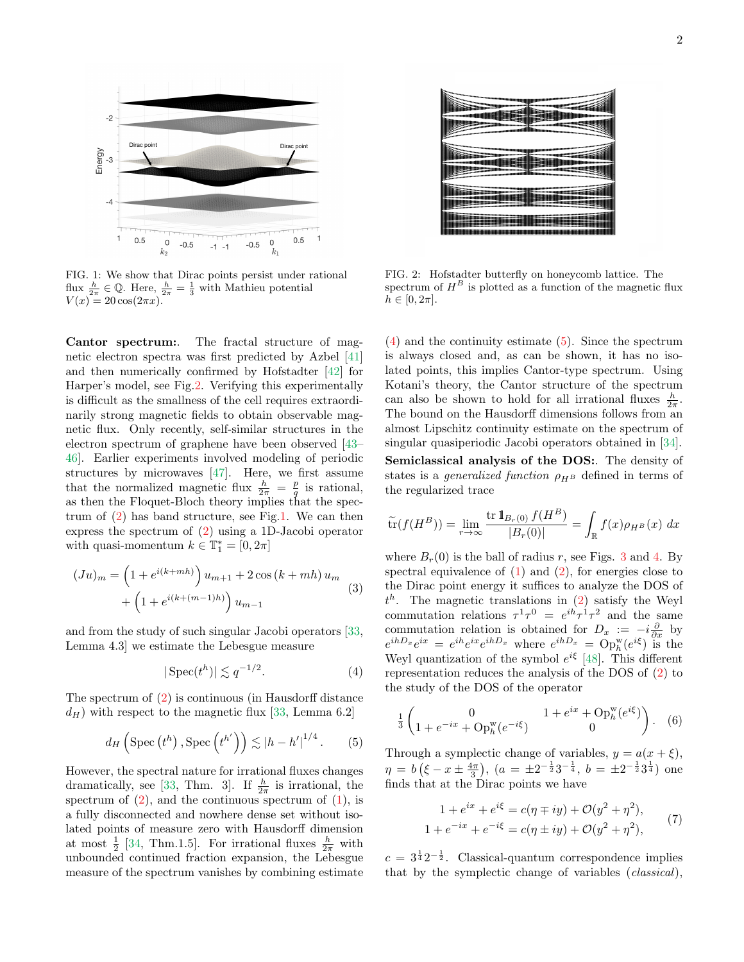<span id="page-1-1"></span>

FIG. 1: We show that Dirac points persist under rational flux  $\frac{h}{2\pi} \in \mathbb{Q}$ . Here,  $\frac{h}{2\pi} = \frac{1}{3}$  with Mathieu potential  $V(x) = 20 \cos(2\pi x).$ 

Cantor spectrum:. The fractal structure of magnetic electron spectra was first predicted by Azbel [\[41\]](#page-4-26) and then numerically confirmed by Hofstadter [\[42\]](#page-4-27) for Harper's model, see Fig[.2.](#page-1-0) Verifying this experimentally is difficult as the smallness of the cell requires extraordinarily strong magnetic fields to obtain observable magnetic flux. Only recently, self-similar structures in the electron spectrum of graphene have been observed [\[43–](#page-4-28) [46\]](#page-4-29). Earlier experiments involved modeling of periodic structures by microwaves [\[47\]](#page-4-30). Here, we first assume that the normalized magnetic flux  $\frac{h}{2\pi} = \frac{p}{q}$  is rational, as then the Floquet-Bloch theory implies that the spectrum of [\(2\)](#page-0-1) has band structure, see Fig[.1.](#page-1-1) We can then express the spectrum of [\(2\)](#page-0-1) using a 1D-Jacobi operator with quasi-momentum  $k \in \mathbb{T}_1^* = [0, 2\pi]$ 

$$
(Ju)_m = \left(1 + e^{i(k+mh)}\right)u_{m+1} + 2\cos\left(k + mh\right)u_m + \left(1 + e^{i(k+(m-1)h)}\right)u_{m-1}
$$
\n(3)

and from the study of such singular Jacobi operators [\[33,](#page-4-20) Lemma 4.3] we estimate the Lebesgue measure

<span id="page-1-2"></span>
$$
|\operatorname{Spec}(t^h)| \lesssim q^{-1/2}.\tag{4}
$$

The spectrum of [\(2\)](#page-0-1) is continuous (in Hausdorff distance  $d_H$ ) with respect to the magnetic flux [\[33,](#page-4-20) Lemma 6.2]

<span id="page-1-3"></span>
$$
d_H\left(\operatorname{Spec}\left(t^h\right),\operatorname{Spec}\left(t^{h'}\right)\right) \lesssim |h-h'|^{1/4}. \tag{5}
$$

However, the spectral nature for irrational fluxes changes dramatically, see [\[33,](#page-4-20) Thm. 3]. If  $\frac{h}{2\pi}$  is irrational, the spectrum of  $(2)$ , and the continuous spectrum of  $(1)$ , is a fully disconnected and nowhere dense set without isolated points of measure zero with Hausdorff dimension at most  $\frac{1}{2}$  [\[34,](#page-4-21) Thm.1.5]. For irrational fluxes  $\frac{h}{2\pi}$  with unbounded continued fraction expansion, the Lebesgue measure of the spectrum vanishes by combining estimate

<span id="page-1-0"></span>

FIG. 2: Hofstadter butterfly on honeycomb lattice. The spectrum of  $H^B$  is plotted as a function of the magnetic flux  $h \in [0, 2\pi].$ 

[\(4\)](#page-1-2) and the continuity estimate [\(5\)](#page-1-3). Since the spectrum is always closed and, as can be shown, it has no isolated points, this implies Cantor-type spectrum. Using Kotani's theory, the Cantor structure of the spectrum can also be shown to hold for all irrational fluxes  $\frac{h}{2\pi}$ . The bound on the Hausdorff dimensions follows from an almost Lipschitz continuity estimate on the spectrum of singular quasiperiodic Jacobi operators obtained in [\[34\]](#page-4-21). Semiclassical analysis of the DOS:. The density of states is a *generalized function*  $\rho_{H^B}$  defined in terms of the regularized trace

$$
\widetilde{\text{tr}}(f(H^B)) = \lim_{r \to \infty} \frac{\text{tr } \mathbf{1}_{B_r(0)} f(H^B)}{|B_r(0)|} = \int_{\mathbb{R}} f(x) \rho_{H^B}(x) dx
$$

where  $B_r(0)$  is the ball of radius r, see Figs. [3](#page-2-0) and [4.](#page-2-1) By spectral equivalence of  $(1)$  and  $(2)$ , for energies close to the Dirac point energy it suffices to analyze the DOS of  $t^h$ . The magnetic translations in [\(2\)](#page-0-1) satisfy the Weyl commutation relations  $\tau^1 \tau^0 = e^{ih} \tau^1 \tau^2$  and the same commutation relation is obtained for  $D_x := -i\frac{\partial}{\partial x}$  by  $e^{ihD_x}e^{ix} = e^{ih}e^{ix}e^{ihD_x}$  where  $e^{ihD_x} = \text{Op}_h^{\text{w}}(e^{i\xi})$  is the Weyl quantization of the symbol  $e^{i\xi}$  [\[48\]](#page-4-31). This different representation reduces the analysis of the DOS of [\(2\)](#page-0-1) to the study of the DOS of the operator

<span id="page-1-4"></span>
$$
\frac{1}{3} \begin{pmatrix} 0 & 1 + e^{ix} + \text{Op}_{h}^{\text{w}}(e^{i\xi}) \\ 1 + e^{-ix} + \text{Op}_{h}^{\text{w}}(e^{-i\xi}) & 0 \end{pmatrix} . \quad (6)
$$

Through a symplectic change of variables,  $y = a(x + \xi)$ ,  $\eta = b\left(\xi - x \pm \frac{4\pi}{3}\right), \ (a = \pm 2^{-\frac{1}{2}}3^{-\frac{1}{4}}, \ b = \pm 2^{-\frac{1}{2}}3^{\frac{1}{4}})$  one finds that at the Dirac points we have

<span id="page-1-5"></span>
$$
1 + e^{ix} + e^{i\xi} = c(\eta \mp iy) + \mathcal{O}(y^2 + \eta^2),
$$
  
\n
$$
1 + e^{-ix} + e^{-i\xi} = c(\eta \pm iy) + \mathcal{O}(y^2 + \eta^2),
$$
\n(7)

 $c = 3^{\frac{1}{4}}2^{-\frac{1}{2}}$ . Classical-quantum correspondence implies that by the symplectic change of variables (classical),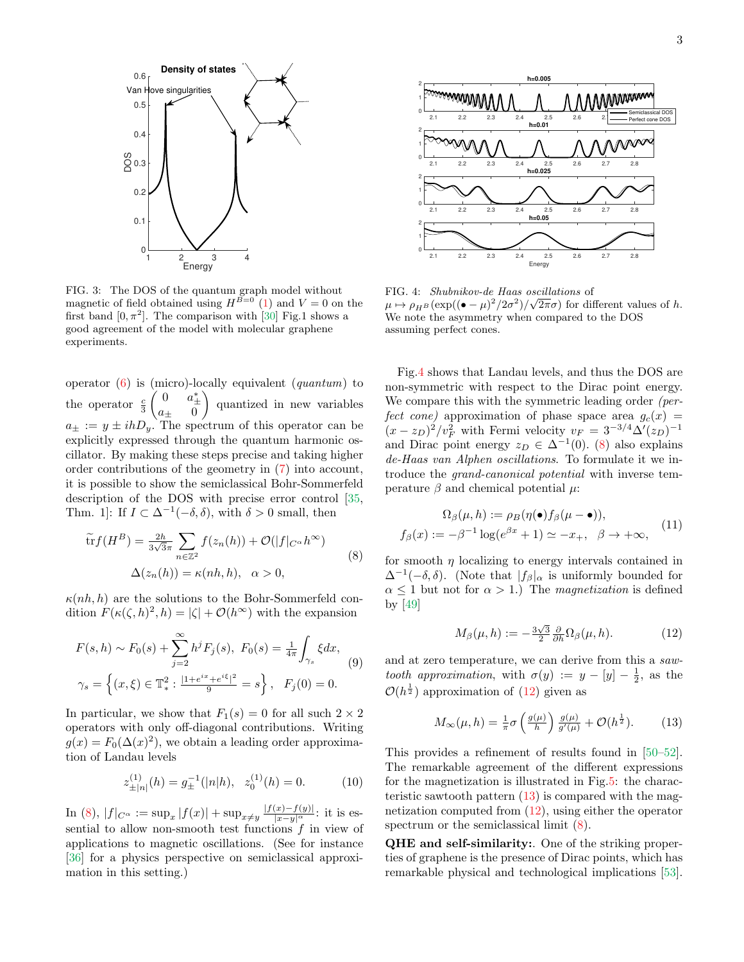<span id="page-2-0"></span>

FIG. 3: The DOS of the quantum graph model without magnetic of field obtained using  $H^{B=0}$  [\(1\)](#page-0-0) and  $V=0$  on the first band  $[0, \pi^2]$ . The comparison with [\[30\]](#page-4-17) Fig.1 shows a good agreement of the model with molecular graphene experiments.

operator  $(6)$  is (micro)-locally equivalent (*quantum*) to the operator  $\frac{c}{3}$  $\begin{pmatrix} 0 & a^*_{\pm} \\ a_{\pm} & 0 \end{pmatrix}$  quantized in new variables  $a_{\pm} := y \pm ihD_y$ . The spectrum of this operator can be explicitly expressed through the quantum harmonic oscillator. By making these steps precise and taking higher order contributions of the geometry in [\(7\)](#page-1-5) into account, it is possible to show the semiclassical Bohr-Sommerfeld description of the DOS with precise error control [\[35,](#page-4-22) Thm. 1]: If  $I \subset \Delta^{-1}(-\delta, \delta)$ , with  $\delta > 0$  small, then

<span id="page-2-2"></span>
$$
\widetilde{\text{tr}} f(H^B) = \frac{2h}{3\sqrt{3}\pi} \sum_{n \in \mathbb{Z}^2} f(z_n(h)) + \mathcal{O}(|f|_{C^\alpha} h^\infty)
$$
\n
$$
\Delta(z_n(h)) = \kappa(nh, h), \quad \alpha > 0,
$$
\n(8)

 $\kappa(nh, h)$  are the solutions to the Bohr-Sommerfeld condition  $F(\kappa(\zeta, h)^2, h) = |\zeta| + \mathcal{O}(h^{\infty})$  with the expansion

$$
F(s,h) \sim F_0(s) + \sum_{j=2}^{\infty} h^j F_j(s), \ F_0(s) = \frac{1}{4\pi} \int_{\gamma_s} \xi dx,
$$
  

$$
\gamma_s = \left\{ (x,\xi) \in \mathbb{T}_*^2 : \frac{|1+e^{ix}+e^{i\xi}|^2}{9} = s \right\}, \ F_j(0) = 0.
$$
 (9)

In particular, we show that  $F_1(s) = 0$  for all such  $2 \times 2$ operators with only off-diagonal contributions. Writing  $g(x) = F_0(\Delta(x)^2)$ , we obtain a leading order approximation of Landau levels

$$
z_{\pm |n|}^{(1)}(h) = g_{\pm}^{-1}(|n|h), \ z_0^{(1)}(h) = 0.
$$
 (10)

In [\(8\)](#page-2-2),  $|f|_{C^{\alpha}} := \sup_x |f(x)| + \sup_{x \neq y} \frac{|f(x) - f(y)|}{|x - y|^{\alpha}}$ : it is essential to allow non-smooth test functions  $f$  in view of applications to magnetic oscillations. (See for instance [\[36\]](#page-4-32) for a physics perspective on semiclassical approximation in this setting.)

<span id="page-2-1"></span>

FIG. 4: *Shubnikov-de Haas oscillations* of  $\mu \mapsto \rho_{H^B} (\exp((\bullet - \mu)^2/2\sigma^2)/\sqrt{2\pi}\sigma)$  for different values of h. We note the asymmetry when compared to the DOS assuming perfect cones.

Fig[.4](#page-2-1) shows that Landau levels, and thus the DOS are non-symmetric with respect to the Dirac point energy. We compare this with the symmetric leading order (perfect cone) approximation of phase space area  $q_c(x)$  =  $(x-z_D)^2/v_F^2$  with Fermi velocity  $v_F = 3^{-3/4} \Delta'(z_D)^{-1}$ and Dirac point energy  $z_D \in \Delta^{-1}(0)$ . [\(8\)](#page-2-2) also explains de-Haas van Alphen oscillations. To formulate it we introduce the grand-canonical potential with inverse temperature  $\beta$  and chemical potential  $\mu$ :

$$
\Omega_{\beta}(\mu, h) := \rho_B(\eta(\bullet) f_{\beta}(\mu - \bullet)),
$$
  

$$
f_{\beta}(x) := -\beta^{-1} \log(e^{\beta x} + 1) \simeq -x_+, \ \beta \to +\infty,
$$
 (11)

for smooth  $\eta$  localizing to energy intervals contained in  $\Delta^{-1}(-\delta, \delta)$ . (Note that  $|f_\beta|_\alpha$  is uniformly bounded for  $\alpha \leq 1$  but not for  $\alpha > 1$ .) The *magnetization* is defined by [\[49\]](#page-4-33)

<span id="page-2-3"></span>
$$
M_{\beta}(\mu, h) := -\frac{3\sqrt{3}}{2} \frac{\partial}{\partial h} \Omega_{\beta}(\mu, h). \tag{12}
$$

and at zero temperature, we can derive from this a sawtooth approximation, with  $\sigma(y) := y - [y] - \frac{1}{2}$ , as the  $\mathcal{O}(h^{\frac{1}{2}})$  approximation of  $(12)$  given as

$$
M_{\infty}(\mu, h) = \frac{1}{\pi} \sigma \left( \frac{g(\mu)}{h} \right) \frac{g(\mu)}{g'(\mu)} + \mathcal{O}(h^{\frac{1}{2}}). \tag{13}
$$

<span id="page-2-4"></span>This provides a refinement of results found in [\[50–](#page-4-34)[52\]](#page-4-35). The remarkable agreement of the different expressions for the magnetization is illustrated in Fig[.5:](#page-3-0) the characteristic sawtooth pattern  $(13)$  is compared with the magnetization computed from [\(12\)](#page-2-3), using either the operator spectrum or the semiclassical limit [\(8\)](#page-2-2).

QHE and self-similarity:. One of the striking properties of graphene is the presence of Dirac points, which has remarkable physical and technological implications [\[53\]](#page-4-36).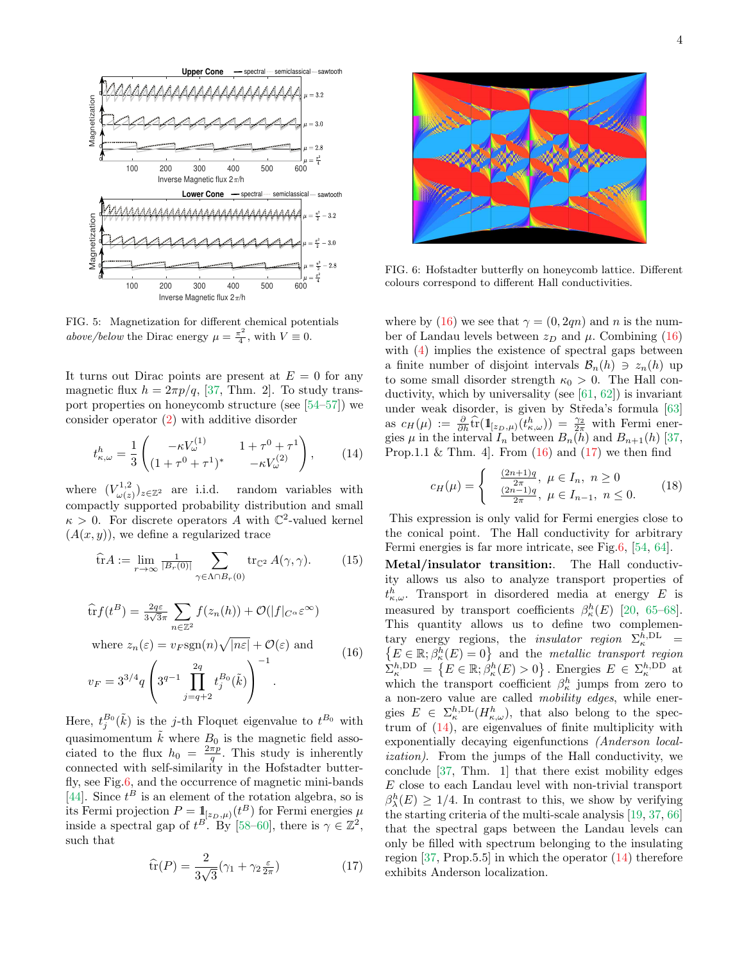<span id="page-3-0"></span>

FIG. 5: Magnetization for different chemical potentials above/below the Dirac energy  $\mu = \frac{\pi^2}{4}$  $\frac{\tau^2}{4}$ , with  $V \equiv 0$ .

It turns out Dirac points are present at  $E = 0$  for any magnetic flux  $h = 2\pi p/q$ , [\[37,](#page-4-23) Thm. 2]. To study transport properties on honeycomb structure (see [\[54–](#page-4-37)[57\]](#page-4-38)) we consider operator [\(2\)](#page-0-1) with additive disorder

<span id="page-3-4"></span>
$$
t_{\kappa,\omega}^h = \frac{1}{3} \begin{pmatrix} -\kappa V_{\omega}^{(1)} & 1 + \tau^0 + \tau^1 \\ (1 + \tau^0 + \tau^1)^* & -\kappa V_{\omega}^{(2)} \end{pmatrix}, \qquad (14)
$$

where  $(V_{\omega\alpha}^{1,2})$  $\omega(z)$ random variables with compactly supported probability distribution and small  $\kappa > 0$ . For discrete operators A with  $\mathbb{C}^2$ -valued kernel  $(A(x, y))$ , we define a regularized trace

$$
\widehat{\text{tr}}A := \lim_{r \to \infty} \frac{1}{|B_r(0)|} \sum_{\gamma \in \Lambda \cap B_r(0)} \text{tr}_{\mathbb{C}^2} A(\gamma, \gamma). \tag{15}
$$

<span id="page-3-2"></span>
$$
\widehat{\text{tr}}f(t^B) = \frac{2q\varepsilon}{3\sqrt{3}\pi} \sum_{n \in \mathbb{Z}^2} f(z_n(h)) + \mathcal{O}(|f|_{C^\alpha} \varepsilon^\infty)
$$
\nwhere  $z_n(\varepsilon) = v_F \text{sgn}(n)\sqrt{|n\varepsilon|} + \mathcal{O}(\varepsilon)$  and\n
$$
v_F = 3^{3/4}q \left(3^{q-1} \prod_{j=q+2}^{2q} t_j^{B_0}(\tilde{k})\right)^{-1}.
$$
\n(16)

Here,  $t_j^{B_0}(\tilde{k})$  is the j-th Floquet eigenvalue to  $t^{B_0}$  with quasimomentum  $\tilde{k}$  where  $B_0$  is the magnetic field associated to the flux  $h_0 = \frac{2\pi p}{q}$ . This study is inherently connected with self-similarity in the Hofstadter butterfly, see Fig[.6,](#page-3-1) and the occurrence of magnetic mini-bands [\[44\]](#page-4-39). Since  $t^B$  is an element of the rotation algebra, so is its Fermi projection  $P = 1\!\!1_{[z_D,\mu)}(t^B)$  for Fermi energies  $\mu$ inside a spectral gap of  $t^B$ . By [\[58](#page-4-40)[–60\]](#page-4-41), there is  $\gamma \in \mathbb{Z}^2$ , such that

<span id="page-3-3"></span>
$$
\widehat{\text{tr}}(P) = \frac{2}{3\sqrt{3}} (\gamma_1 + \gamma_2 \frac{\varepsilon}{2\pi})
$$
\n(17)

<span id="page-3-1"></span>

FIG. 6: Hofstadter butterfly on honeycomb lattice. Different colours correspond to different Hall conductivities.

where by [\(16\)](#page-3-2) we see that  $\gamma = (0, 2qn)$  and n is the number of Landau levels between  $z_D$  and  $\mu$ . Combining [\(16\)](#page-3-2) with [\(4\)](#page-1-2) implies the existence of spectral gaps between a finite number of disjoint intervals  $\mathcal{B}_n(h) \ni z_n(h)$  up to some small disorder strength  $\kappa_0 > 0$ . The Hall conductivity, which by universality (see [\[61,](#page-4-42) [62\]](#page-5-0)) is invariant under weak disorder, is given by Středa's formula [\[63\]](#page-5-1) as  $c_H(\mu) := \frac{\partial}{\partial h} \widehat{\text{tr}}(\mathbb{1}_{[z_D,\mu]}(t^h_{\kappa,\omega})) = \frac{\gamma_2}{2\pi} \text{ with Fermi energy.}$ gies  $\mu$  in the interval  $I_n$  between  $B_n(h)$  and  $B_{n+1}(h)$  [\[37,](#page-4-23) Prop.1.1 & Thm. 4. From  $(16)$  and  $(17)$  we then find

$$
c_H(\mu) = \begin{cases} \frac{(2n+1)q}{2\pi}, \ \mu \in I_n, \ n \ge 0\\ \frac{(2n-1)q}{2\pi}, \ \mu \in I_{n-1}, \ n \le 0. \end{cases} \tag{18}
$$

This expression is only valid for Fermi energies close to the conical point. The Hall conductivity for arbitrary Fermi energies is far more intricate, see Fig[.6,](#page-3-1) [\[54,](#page-4-37) [64\]](#page-5-2).

Metal/insulator transition:. The Hall conductivity allows us also to analyze transport properties of  $t_{\kappa,\omega}^h$ . Transport in disordered media at energy E is measured by transport coefficients  $\beta_{\kappa}^{h}(E)$  [\[20,](#page-4-9) [65–](#page-5-3)[68\]](#page-5-4). This quantity allows us to define two complementary energy regions, the *insulator region*  $\Sigma_{\kappa}^{h, \text{DL}}$ tary energy regions, the *insulator region*  $\Sigma_{\kappa}^{h,\text{DL}} =$ <br> $\{E \in \mathbb{R}; \beta_{\kappa}^{h}(E) = 0\}$  and the *metallic transport region*  $\tilde{\Sigma}_{\kappa}^{h,\text{DD}} = \{E \in \mathbb{R}; \hat{\beta}_{\kappa}^{h}(E) > 0\}.$  Energies  $E \in \Sigma_{\kappa}^{h,\text{DD}}$  at which the transport coefficient  $\beta_{\kappa}^{h}$  jumps from zero to a non-zero value are called mobility edges, while energies  $E \in \sum_{\kappa}^{h,\text{DL}}(H_{\kappa,\omega}^h)$ , that also belong to the spectrum of  $(14)$ , are eigenvalues of finite multiplicity with exponentially decaying eigenfunctions (Anderson localization). From the jumps of the Hall conductivity, we conclude [\[37,](#page-4-23) Thm. 1] that there exist mobility edges E close to each Landau level with non-trivial transport  $\beta_{\lambda}^{h}(E) \geq 1/4$ . In contrast to this, we show by verifying the starting criteria of the multi-scale analysis [\[19,](#page-4-43) [37,](#page-4-23) [66\]](#page-5-5) that the spectral gaps between the Landau levels can only be filled with spectrum belonging to the insulating region  $[37, Prop.5.5]$  $[37, Prop.5.5]$  in which the operator  $(14)$  therefore exhibits Anderson localization.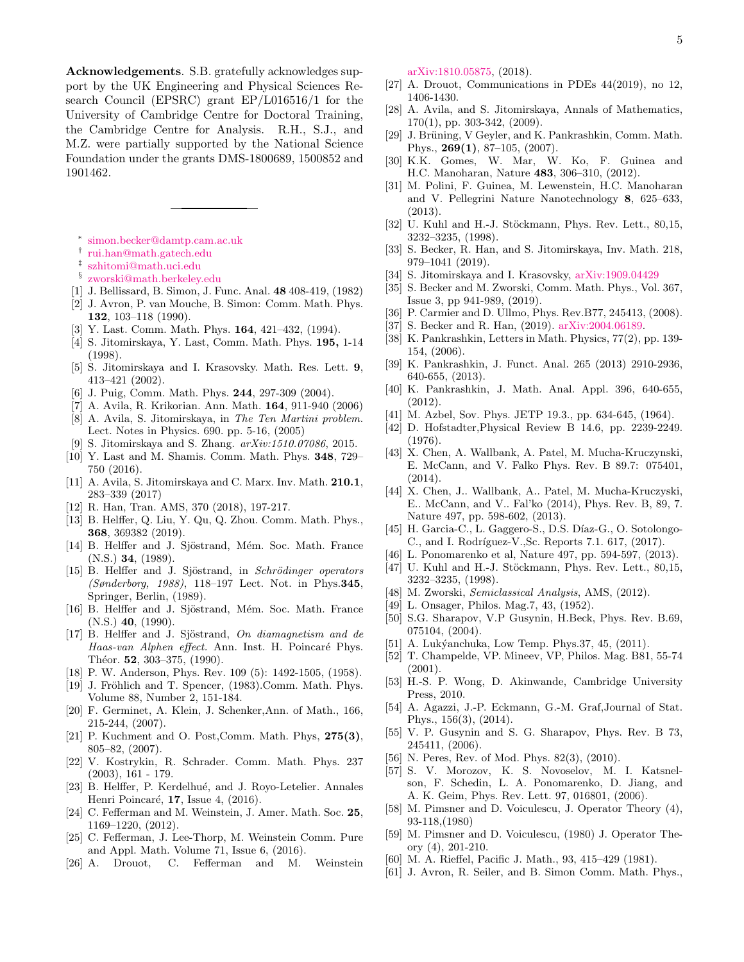Acknowledgements. S.B. gratefully acknowledges support by the UK Engineering and Physical Sciences Research Council (EPSRC) grant EP/L016516/1 for the University of Cambridge Centre for Doctoral Training, the Cambridge Centre for Analysis. R.H., S.J., and M.Z. were partially supported by the National Science Foundation under the grants DMS-1800689, 1500852 and 1901462.

- <span id="page-4-0"></span>∗ [simon.becker@damtp.cam.ac.uk](mailto:simon.becker@damtp.cam.ac.uk)
- <span id="page-4-1"></span>† [rui.han@math.gatech.edu](mailto:rui.han@math.gatech.edu)
- <span id="page-4-2"></span>‡ [szhitomi@math.uci.edu](mailto:szhitomi@math.uci.edu)
- <span id="page-4-3"></span>§ [zworski@math.berkeley.edu](mailto:zworski@math.berkeley.edu)
- <span id="page-4-4"></span>[1] J. Bellissard, B. Simon, J. Func. Anal. 48 408-419, (1982)
- [2] J. Avron, P. van Mouche, B. Simon: Comm. Math. Phys. 132, 103–118 (1990).
- [3] Y. Last. Comm. Math. Phys. 164, 421–432, (1994).
- [4] S. Jitomirskaya, Y. Last, Comm. Math. Phys. 195, 1-14 (1998).
- [5] S. Jitomirskaya and I. Krasovsky. Math. Res. Lett. 9, 413–421 (2002).
- [6] J. Puig, Comm. Math. Phys. 244, 297-309 (2004).
- [7] A. Avila, R. Krikorian. Ann. Math. 164, 911-940 (2006)
- [8] A. Avila, S. Jitomirskaya, in The Ten Martini problem. Lect. Notes in Physics. 690. pp. 5-16, (2005)
- [9] S. Jitomirskaya and S. Zhang. arXiv:1510.07086, 2015.
- [10] Y. Last and M. Shamis. Comm. Math. Phys. 348, 729– 750 (2016).
- [11] A. Avila, S. Jitomirskaya and C. Marx. Inv. Math. 210.1, 283–339 (2017)
- [12] R. Han, Tran. AMS, 370 (2018), 197-217.
- <span id="page-4-5"></span>[13] B. Helffer, Q. Liu, Y. Qu, Q. Zhou. Comm. Math. Phys., 368, 369382 (2019).
- <span id="page-4-6"></span>[14] B. Helffer and J. Sjöstrand, Mém. Soc. Math. France  $(N.S.)$  34,  $(1989).$
- [15] B. Helffer and J. Sjöstrand, in Schrödinger operators (Sønderborg, 1988), 118–197 Lect. Not. in Phys.345, Springer, Berlin, (1989).
- [16] B. Helffer and J. Sjöstrand, Mém. Soc. Math. France  $(N.S.)$  40,  $(1990).$
- <span id="page-4-7"></span>[17] B. Helffer and J. Sjöstrand, On diamagnetism and de Haas-van Alphen effect. Ann. Inst. H. Poincaré Phys. Théor. 52, 303-375, (1990).
- <span id="page-4-8"></span>[18] P. W. Anderson, Phys. Rev. 109 (5): 1492-1505, (1958).
- <span id="page-4-43"></span>[19] J. Fröhlich and T. Spencer, (1983).Comm. Math. Phys. Volume 88, Number 2, 151-184.
- <span id="page-4-9"></span>[20] F. Germinet, A. Klein, J. Schenker,Ann. of Math., 166, 215-244, (2007).
- <span id="page-4-10"></span>[21] P. Kuchment and O. Post, Comm. Math. Phys,  $275(3)$ , 805–82, (2007).
- <span id="page-4-11"></span>[22] V. Kostrykin, R. Schrader. Comm. Math. Phys. 237 (2003), 161 - 179.
- <span id="page-4-12"></span>[23] B. Helffer, P. Kerdelhué, and J. Royo-Letelier. Annales Henri Poincaré,  $17$ , Issue 4,  $(2016)$ .
- <span id="page-4-13"></span>[24] C. Fefferman and M. Weinstein, J. Amer. Math. Soc. 25, 1169–1220, (2012).
- [25] C. Fefferman, J. Lee-Thorp, M. Weinstein Comm. Pure and Appl. Math. Volume 71, Issue 6, (2016).
- [26] A. Drouot, C. Fefferman and M. Weinstein

[arXiv:1810.05875,](http://arxiv.org/abs/1810.05875) (2018).

- <span id="page-4-14"></span>[27] A. Drouot, Communications in PDEs 44(2019), no 12, 1406-1430.
- <span id="page-4-15"></span>[28] A. Avila, and S. Jitomirskaya, Annals of Mathematics, 170(1), pp. 303-342, (2009).
- <span id="page-4-16"></span>[29] J. Brüning, V Geyler, and K. Pankrashkin, Comm. Math. Phys., 269(1), 87–105, (2007).
- <span id="page-4-17"></span>[30] K.K. Gomes, W. Mar, W. Ko, F. Guinea and H.C. Manoharan, Nature 483, 306–310, (2012).
- <span id="page-4-18"></span>[31] M. Polini, F. Guinea, M. Lewenstein, H.C. Manoharan and V. Pellegrini Nature Nanotechnology 8, 625–633, (2013).
- <span id="page-4-19"></span>[32] U. Kuhl and H.-J. Stöckmann, Phys. Rev. Lett., 80,15, 3232–3235, (1998).
- <span id="page-4-20"></span>[33] S. Becker, R. Han, and S. Jitomirskaya, Inv. Math. 218, 979–1041 (2019).
- <span id="page-4-21"></span>[34] S. Jitomirskaya and I. Krasovsky, [arXiv:1909.04429](http://arxiv.org/abs/1909.04429)
- <span id="page-4-22"></span>[35] S. Becker and M. Zworski, Comm. Math. Phys., Vol. 367, Issue 3, pp 941-989, (2019).
- <span id="page-4-32"></span>[36] P. Carmier and D. Ullmo, Phys. Rev.B77, 245413, (2008).
- <span id="page-4-23"></span>[37] S. Becker and R. Han, (2019). [arXiv:2004.06189.](http://arxiv.org/abs/2004.06189)
- <span id="page-4-24"></span>[38] K. Pankrashkin, Letters in Math. Physics, 77(2), pp. 139- 154, (2006).
- [39] K. Pankrashkin, J. Funct. Anal. 265 (2013) 2910-2936, 640-655, (2013).
- <span id="page-4-25"></span>[40] K. Pankrashkin, J. Math. Anal. Appl. 396, 640-655, (2012).
- <span id="page-4-26"></span>[41] M. Azbel, Sov. Phys. JETP 19.3., pp. 634-645, (1964).
- <span id="page-4-27"></span>[42] D. Hofstadter,Physical Review B 14.6, pp. 2239-2249. (1976).
- <span id="page-4-28"></span>[43] X. Chen, A. Wallbank, A. Patel, M. Mucha-Kruczynski, E. McCann, and V. Falko Phys. Rev. B 89.7: 075401,  $(2014)$ .
- <span id="page-4-39"></span>[44] X. Chen, J.. Wallbank, A.. Patel, M. Mucha-Kruczyski, E.. McCann, and V.. Fal'ko (2014), Phys. Rev. B, 89, 7. Nature 497, pp. 598-602, (2013).
- [45] H. Garcia-C., L. Gaggero-S., D.S. Díaz-G., O. Sotolongo-C., and I. Rodríguez-V., Sc. Reports 7.1. 617, (2017).
- <span id="page-4-29"></span>[46] L. Ponomarenko et al, Nature 497, pp. 594-597, (2013).
- <span id="page-4-30"></span>[47] U. Kuhl and H.-J. Stöckmann, Phys. Rev. Lett., 80,15, 3232–3235, (1998).
- <span id="page-4-31"></span>[48] M. Zworski, Semiclassical Analysis, AMS, (2012).
- <span id="page-4-33"></span>[49] L. Onsager, Philos. Mag.7, 43, (1952).
- <span id="page-4-34"></span>[50] S.G. Sharapov, V.P Gusynin, H.Beck, Phys. Rev. B.69, 075104, (2004).
- [51] A. Lukýanchuka, Low Temp. Phys. 37, 45, (2011).
- <span id="page-4-35"></span>[52] T. Champelde, VP. Mineev, VP, Philos. Mag. B81, 55-74 (2001).
- <span id="page-4-36"></span>[53] H.-S. P. Wong, D. Akinwande, Cambridge University Press, 2010.
- <span id="page-4-37"></span>[54] A. Agazzi, J.-P. Eckmann, G.-M. Graf,Journal of Stat. Phys., 156(3), (2014).
- [55] V. P. Gusynin and S. G. Sharapov, Phys. Rev. B 73, 245411, (2006).
- [56] N. Peres, Rev. of Mod. Phys. 82(3), (2010).
- <span id="page-4-38"></span>[57] S. V. Morozov, K. S. Novoselov, M. I. Katsnelson, F. Schedin, L. A. Ponomarenko, D. Jiang, and A. K. Geim, Phys. Rev. Lett. 97, 016801, (2006).
- <span id="page-4-40"></span>[58] M. Pimsner and D. Voiculescu, J. Operator Theory (4), 93-118,(1980)
- [59] M. Pimsner and D. Voiculescu, (1980) J. Operator Theory (4), 201-210.
- <span id="page-4-41"></span>[60] M. A. Rieffel, Pacific J. Math., 93, 415–429 (1981).
- <span id="page-4-42"></span>[61] J. Avron, R. Seiler, and B. Simon Comm. Math. Phys.,